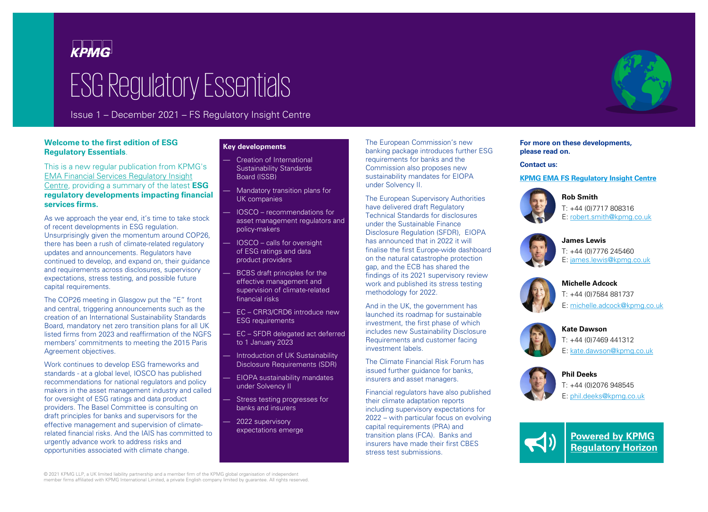

# ESG Regulatory Essentials

Issue 1 – December 2021 – FS Regulatory Insight Centre

# **Welcome to the first edition of ESG Regulatory Essentials**.

This is a new regular publication from KPMG's EMA Financial Services Regulatory Insight Centre, providing a summary of the latest **ESG regulatory developments impacting financial services firms.**

As we approach the year end, it's time to take stock of recent developments in ESG regulation. Unsurprisingly given the momentum around COP26, there has been a rush of climate-related regulatory updates and announcements. Regulators have continued to develop, and expand on, their guidance and requirements across disclosures, supervisory expectations, stress testing, and possible future capital requirements.

The COP26 meeting in Glasgow put the "E" front and central, triggering announcements such as the creation of an International Sustainability Standards Board, mandatory net zero transition plans for all UK listed firms from 2023 and reaffirmation of the NGFS members' commitments to meeting the 2015 Paris Agreement objectives.

Work continues to develop ESG frameworks and standards - at a global level, IOSCO has published recommendations for national regulators and policy makers in the asset management industry and called for oversight of ESG ratings and data product providers. The Basel Committee is consulting on draft principles for banks and supervisors for the effective management and supervision of climaterelated financial risks. And the IAIS has committed to urgently advance work to address risks and opportunities associated with climate change.

## **Key developments**

- Creation of International Sustainability Standards Board (ISSB)
- Mandatory transition plans for UK companies
- IOSCO recommendations for asset management regulators and policy-makers
- IOSCO calls for oversight of ESG ratings and data product providers
- BCBS draft principles for the effective management and supervision of climate-related financial risks
- EC CRR3/CRD6 introduce new ESG requirements
- EC SFDR delegated act deferred to 1 January 2023
- Introduction of UK Sustainability Disclosure Requirements (SDR)
- EIOPA sustainability mandates under Solvency II
- Stress testing progresses for banks and insurers
- 2022 supervisory expectations emerge

The European Commission's new banking package introduces further ESG requirements for banks and the Commission also proposes new sustainability mandates for EIOPA under Solvency II.

The European Supervisory Authorities have delivered draft Regulatory Technical Standards for disclosures under the Sustainable Finance Disclosure Regulation (SFDR), EIOPA has announced that in 2022 it will finalise the first Europe-wide dashboard on the natural catastrophe protection gap, and the ECB has shared the findings of its 2021 supervisory review work and published its stress testing methodology for 2022.

And in the UK, the government has launched its roadmap for sustainable investment, the first phase of which includes new Sustainability Disclosure Requirements and customer facing investment labels.

The Climate Financial Risk Forum has issued further guidance for banks. insurers and asset managers.

Financial regulators have also published their climate adaptation reports including supervisory expectations for 2022 – with particular focus on evolving capital requirements (PRA) and transition plans (FCA). Banks and insurers have made their first CBES stress test submissions.

**For more on these developments, please read on.** 

## **Contact us:**

**[KPMG EMA FS Regulatory Insight Centre](https://home.kpmg/xx/en/home/insights/2013/05/regulatory-challenges.html)**



**Rob Smith** T: +44 (0)7717 808316 E: [robert.smith@kpmg.co.uk](mailto:robert.smith@kpmg.co.uk)



**James Lewis** T: +44 (0)7776 245460 E: [james.lewis@kpmg.co.uk](mailto:james.lewis@kpmg.co.uk)



**Michelle Adcock** T: +44 (0)7584 881737 E: [michelle.adcock@kpmg.co.uk](mailto:michelle.adcock@kpmg.co.uk)



**Kate Dawson** T: +44 (0)7469 441312 E: [kate.dawson@kpmg.co.uk](mailto:kate.dawson@kpmg.co.uk)



**Phil Deeks** T: +44 (0)2076 948545 E: [phil.deeks@kpmg.co.uk](mailto:phil.deeks@kpmg.co.uk)



**Powered by KPMG [Regulatory Horizon](https://home.kpmg/uk/en/home/insights/2021/01/understanding-the-regulatory-horizon.html)**

© 2021 KPMG LLP, a UK limited liability partnership and a member firm of the KPMG global organisation of independent member firms affiliated with KPMG International Limited, a private English company limited by guarantee. All rights reserved.

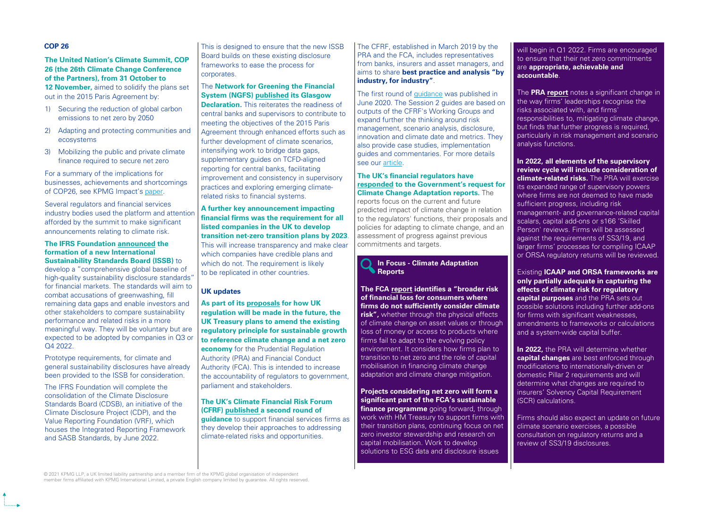## **COP 26**

**The United Nation's Climate Summit, COP 26 (the 26th Climate Change Conference of the Partners), from 31 October to** 

**12 November,** aimed to solidify the plans set out in the 2015 Paris Agreement by:

- 1) Securing the reduction of global carbon emissions to net zero by 2050
- 2) Adapting and protecting communities and ecosystems
- 3) Mobilizing the public and private climate finance required to secure net zero

For a summary of the implications for businesses, achievements and shortcomings of COP26, see KPMG Impact's [paper.](https://home.kpmg/xx/en/home/insights/2020/06/kpmg-impact/cop26-reflections-implications-for-business.html)

Several regulators and financial services industry bodies used the platform and attentior afforded by the summit to make significant announcements relating to climate risk.

#### **The IFRS Foundation [announced](https://www.ifrs.org/news-and-events/news/2021/11/ifrs-foundation-announces-issb-consolidation-with-cdsb-vrf-publication-of-prototypes/) the formation of a new International Sustainability Standards Board (ISSB)** to

develop a "comprehensive global baseline of high-quality sustainability disclosure standards' for financial markets. The standards will aim to combat accusations of greenwashing, fill remaining data gaps and enable investors and other stakeholders to compare sustainability performance and related risks in a more meaningful way. They will be voluntary but are expected to be adopted by companies in Q3 or Q4 2022.

Prototype requirements, for climate and general sustainability disclosures have already been provided to the ISSB for consideration.

The IFRS Foundation will complete the consolidation of the Climate Disclosure Standards Board (CDSB), an initiative of the Climate Disclosure Project (CDP), and the Value Reporting Foundation (VRF), which houses the Integrated Reporting Framework and SASB Standards, by June 2022.

This is designed to ensure that the new ISSB Board builds on these existing disclosure frameworks to ease the process for corporates.

# The **Network for Greening the Financial System (NGFS) [published](https://www.ngfs.net/sites/default/files/ngfsglasgowdeclaration.pdf) its Glasgow**

**Declaration.** This reiterates the readiness of central banks and supervisors to contribute to meeting the objectives of the 2015 Paris Agreement through enhanced efforts such as further development of climate scenarios, intensifying work to bridge data gaps, supplementary guides on TCFD-aligned reporting for central banks, facilitating improvement and consistency in supervisory practices and exploring emerging climaterelated risks to financial systems.

**A further key announcement impacting financial firms was the requirement for all listed companies in the UK to develop transition net-zero transition plans by 2023** This will increase transparency and make clea which companies have credible plans and which do not. The requirement is likely to be replicated in other countries.

# **UK updates**

**As part of its [proposals](https://assets.publishing.service.gov.uk/government/uploads/system/uploads/attachment_data/file/1032075/FRF_Review_Consultation_2021_-_Final_.pdf) for how UK regulation will be made in the future, the UK Treasury plans to amend the existing regulatory principle for sustainable growth to reference climate change and a net zero economy** for the Prudential Regulation Authority (PRA) and Financial Conduct Authority (FCA). This is intended to increase the accountability of regulators to government, parliament and stakeholders.

## **The UK's Climate Financial Risk Forum (CFRF) [published](https://www.fca.org.uk/transparency/climate-financial-risk-forum) a second round of**

**guidance** to support financial services firms as they develop their approaches to addressing climate-related risks and opportunities.

The CFRF, established in March 2019 by the PRA and the FCA, includes representatives from banks, insurers and asset managers, and aims to share **best practice and analysis "by industry, for industry"**.

The first round of [guidance](https://www.fca.org.uk/transparency/climate-financial-risk-forum) was published in June 2020. The Session 2 guides are based on outputs of the CFRF's Working Groups and expand further the thinking around risk management, scenario analysis, disclosure, innovation and climate date and metrics. They also provide case studies, implementation guides and commentaries. For more details see our [article.](https://home.kpmg/xx/en/home/insights/2021/11/uk-climate-financial-risk-forum-publishes-session-2-guides.html)

## **The UK's financial regulators have [responded](https://www.bankofengland.co.uk/news/2021/october/joint-statement-on-the-publication-of-climate-change-adaptation-reports) to the Government's request for Climate Change Adaptation reports.** The

reports focus on the current and future predicted impact of climate change in relation to the regulators' functions, their proposals and policies for adapting to climate change, and an . assessment of progress against previous commitments and targets.

## **In Focus - Climate Adaptation Reports**

**The FCA [report](https://www.fca.org.uk/publication/corporate/fca-climate-change-adaptation-report.pdf) identifies a "broader risk of financial loss for consumers where firms do not sufficiently consider climate risk",** whether through the physical effects of climate change on asset values or through loss of money or access to products where firms fail to adapt to the evolving policy environment. It considers how firms plan to transition to net zero and the role of capital mobilisation in financing climate change adaptation and climate change mitigation.

**Projects considering net zero will form a significant part of the FCA's sustainable finance programme** going forward, through work with HM Treasury to support firms with their transition plans, continuing focus on net zero investor stewardship and research on capital mobilisation. Work to develop solutions to ESG data and disclosure issues

will begin in Q1 2022. Firms are encouraged to ensure that their net zero commitments are **appropriate, achievable and accountable**.

The **PRA [report](https://www.bankofengland.co.uk/-/media/boe/files/prudential-regulation/publication/2021/october/climate-change-adaptation-report-2021.pdf?la=en&hash=FF4A0C618471462E10BC704D4AA58727EC8F8720)** notes a significant change in the way firms' leaderships recognise the risks associated with, and firms' responsibilities to, mitigating climate change, but finds that further progress is required, particularly in risk management and scenario analysis functions.

**In 2022, all elements of the supervisory review cycle will include consideration of climate-related risks.** The PRA will exercise its expanded range of supervisory powers where firms are not deemed to have made sufficient progress, including risk management- and governance-related capital scalars, capital add-ons or s166 'Skilled Person' reviews. Firms will be assessed against the requirements of SS3/19, and larger firms' processes for compiling ICAAP or ORSA regulatory returns will be reviewed.

Existing **ICAAP and ORSA frameworks are only partially adequate in capturing the effects of climate risk for regulatory capital purposes** and the PRA sets out possible solutions including further add-ons for firms with significant weaknesses. amendments to frameworks or calculations and a system-wide capital buffer.

**In 2022,** the PRA will determine whether **capital changes** are best enforced through modifications to internationally-driven or domestic Pillar 2 requirements and will determine what changes are required to insurers' Solvency Capital Requirement (SCR) calculations.

Firms should also expect an update on future climate scenario exercises, a possible consultation on regulatory returns and a review of SS3/19 disclosures.

© 2021 KPMG LLP, a UK limited liability partnership and a member firm of the KPMG global organisation of independent<br>member firms affiliated with KPMG International Limited, a private English company limited by guarantee.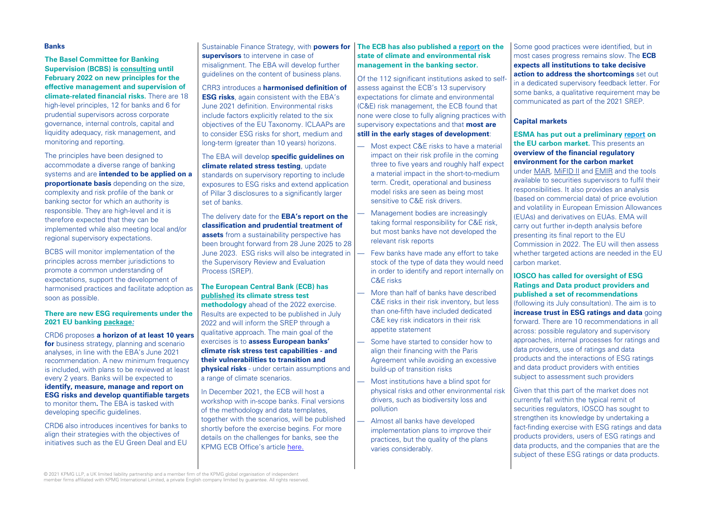## **Banks**

**The Basel Committee for Banking Supervision (BCBS) is [consulting](https://www.bis.org/bcbs/publ/d530.pdf) until February 2022 on new principles for the effective management and supervision of climate-related financial risks.** There are 18 high-level principles, 12 for banks and 6 for prudential supervisors across corporate governance, internal controls, capital and liquidity adequacy, risk management, and monitoring and reporting.

The principles have been designed to accommodate a diverse range of banking systems and are **intended to be applied on a proportionate basis** depending on the size. complexity and risk profile of the bank or banking sector for which an authority is responsible. They are high-level and it is therefore expected that they can be implemented while also meeting local and/or regional supervisory expectations.

BCBS will monitor implementation of the principles across member jurisdictions to promote a common understanding of expectations, support the development of harmonised practices and facilitate adoption as soon as possible.

## **There are new ESG requirements under the 2021 EU banking [package](https://ec.europa.eu/info/publications/211027-banking-package_en):**

CRD6 proposes **a horizon of at least 10 years for** business strategy, planning and scenario analyses, in line with the EBA's June 2021 recommendation. A new minimum frequency is included, with plans to be reviewed at least every 2 years. Banks will be expected to **identify, measure, manage and report on ESG risks and develop quantifiable targets**  to monitor them**.** The EBA is tasked with developing specific quidelines.

CRD6 also introduces incentives for banks to align their strategies with the objectives of initiatives such as the EU Green Deal and EU Sustainable Finance Strategy, with **powers for supervisors** to intervene in case of misalignment. The EBA will develop further guidelines on the content of business plans.

CRR3 introduces a **harmonised definition of ESG risks**, again consistent with the EBA's June 2021 definition. Environmental risks include factors explicitly related to the six objectives of the EU Taxonomy. ICLAAPs are to consider ESG risks for short, medium and long-term (greater than 10 years) horizons.

# The EBA will develop **specific guidelines on climate related stress testing**, update

standards on supervisory reporting to include exposures to ESG risks and extend application of Pillar 3 disclosures to a significantly larger set of banks.

The delivery date for the **EBA's report on the classification and prudential treatment of assets** from a sustainability perspective has been brought forward from 28 June 2025 to 28 June 2023. ESG risks will also be integrated in the Supervisory Review and Evaluation Process (SREP).

## **The European Central Bank (ECB) has [published](https://www.bankingsupervision.europa.eu/ecb/pub/pdf/ssm.climateriskstresstest2021~a4de107198.en.pdf) its climate stress test**

**methodology** ahead of the 2022 exercise. Results are expected to be published in July 2022 and will inform the SREP through a qualitative approach. The main goal of the exercises is to **assess European banks' climate risk stress test capabilities - and their vulnerabilities to transition and physical risks** - under certain assumptions and a range of climate scenarios.

In December 2021, the ECB will host a workshop with in-scope banks. Final versions of the methodology and data templates, together with the scenarios, will be published shortly before the exercise begins. For more details on the challenges for banks, see the KPMG ECB Office's article here.

## **The ECB has also published a [report](https://www.bankingsupervision.europa.eu/ecb/pub/pdf/ssm.202111guideonclimate-relatedandenvironmentalrisks~4b25454055.en.pdf) on the state of climate and environmental risk management in the banking sector.**

Of the 112 significant institutions asked to selfassess against the ECB's 13 supervisory expectations for climate and environmental (C&E) risk management, the ECB found that none were close to fully aligning practices with supervisory expectations and that **most are still in the early stages of development**:

- Most expect C&E risks to have a material impact on their risk profile in the coming three to five years and roughly half expect a material impact in the short-to-medium term. Credit, operational and business model risks are seen as being most sensitive to C&E risk drivers.
	- Management bodies are increasingly taking formal responsibility for C&E risk, but most banks have not developed the relevant risk reports
	- Few banks have made any effort to take stock of the type of data they would need in order to identify and report internally on C&E risks
- More than half of banks have described C&E risks in their risk inventory, but less than one-fifth have included dedicated C&E key risk indicators in their risk appetite statement
- Some have started to consider how to align their financing with the Paris Agreement while avoiding an excessive build-up of transition risks
- Most institutions have a blind spot for physical risks and other environmental risk drivers, such as biodiversity loss and pollution
- Almost all banks have developed implementation plans to improve their practices, but the quality of the plans varies considerably.

Some good practices were identified, but in most cases progress remains slow. The **ECB expects all institutions to take decisive action to address the shortcomings** set out in a dedicated supervisory feedback letter. For some banks, a qualitative requirement may be communicated as part of the 2021 SREP.

# **Capital markets**

**ESMA has put out a preliminary [report](https://www.esma.europa.eu/press-news/esma-news/esma-publishes-its-preliminary-report-eu-carbon-market) on the EU carbon market.** This presents an **overview of the financial regulatory environment for the carbon market**  under [MAR](https://eur-lex.europa.eu/legal-content/EN/TXT/?uri=celex%3A32014R0596), [MiFID II](https://eur-lex.europa.eu/legal-content/EN/TXT/?uri=celex%3A32014L0065) and [EMIR](https://eur-lex.europa.eu/legal-content/EN/TXT/?uri=CELEX%3A32012R0648) and the tools available to securities supervisors to fulfil their responsibilities. It also provides an analysis (based on commercial data) of price evolution and volatility in European Emission Allowances (EUAs) and derivatives on EUAs. EMA will carry out further in-depth analysis before presenting its final report to the EU Commission in 2022. The EU will then assess whether targeted actions are needed in the EU carbon market.

**IOSCO has called for oversight of ESG Ratings and Data product providers and published a set of recommendations**  (following its July consultation). The aim is to **increase trust in ESG ratings and data** going forward. There are 10 recommendations in all across: possible regulatory and supervisory approaches, internal processes for ratings and data providers, use of ratings and data products and the interactions of ESG ratings and data product providers with entities subject to assessment such providers

Given that this part of the market does not currently fall within the typical remit of securities regulators, IOSCO has sought to strengthen its knowledge by undertaking a fact-finding exercise with ESG ratings and data products providers, users of ESG ratings and data products, and the companies that are the subject of these ESG ratings or data products.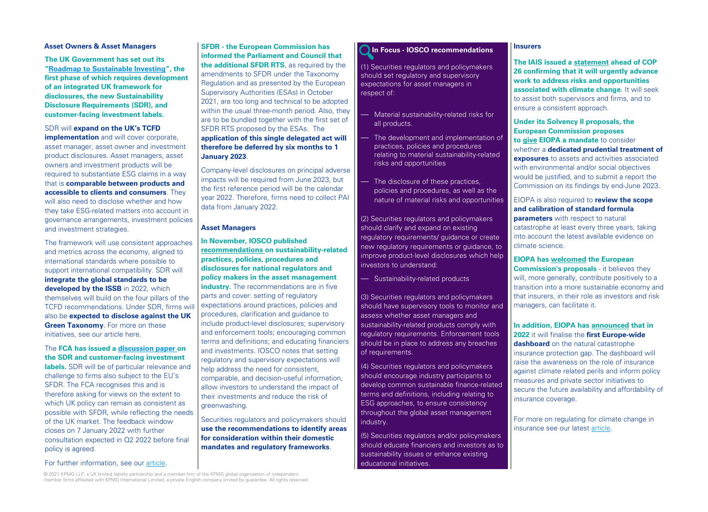## **Asset Owners & Asset Managers**

**The UK Government has set out its "[Roadmap to Sustainable Investing](https://assets.publishing.service.gov.uk/government/uploads/system/uploads/attachment_data/file/1031805/CCS0821102722-006_Green_Finance_Paper_2021_v6_Web_Accessible.pdf)", the first phase of which requires development of an integrated UK framework for disclosures, the new Sustainability Disclosure Requirements (SDR), and customer-facing investment labels.**

## SDR will **expand on the UK's TCFD implementation** and will cover corporate, asset manager, asset owner and investment product disclosures. Asset managers, asset owners and investment products will be required to substantiate ESG claims in a way that is **comparable between products and accessible to clients and consumers**. They will also need to disclose whether and how they take ESG-related matters into account in governance arrangements, investment policies and investment strategies.

The framework will use consistent approaches and metrics across the economy, aligned to international standards where possible to support international compatibility. SDR will **integrate the global standards to be developed by the ISSB** in 2022, which themselves will build on the four pillars of the TCFD recommendations. Under SDR, firms wil also be **expected to disclose against the UK Green Taxonomy**. For more on these initiatives, see our article here.

## The **FCA has issued a [discussion paper o](https://www.fca.org.uk/publication/discussion/dp21-4.pdf)n the SDR and customer-facing investment**

**labels.** SDR will be of particular relevance and challenge to firms also subject to the EU's SFDR. The FCA recognises this and is therefore asking for views on the extent to which UK policy can remain as consistent as possible with SFDR, while reflecting the needs of the UK market. The feedback window closes on 7 January 2022 with further consultation expected in Q2 2022 before final policy is agreed.

**SFDR - the European Commission has informed the Parliament and Council that the additional SFDR RTS**, as required by the amendments to SFDR under the Taxonomy Regulation and as presented by the European Supervisory Authorities (ESAs) in October 2021, are too long and technical to be adopted within the usual three-month period. Also, they are to be bundled together with the first set of SFDR RTS proposed by the ESAs. The **application of this single delegated act will therefore be deferred by six months to 1 January 2023**.

Company-level disclosures on principal adverse impacts will be required from June 2023, but the first reference period will be the calendar year 2022. Therefore, firms need to collect PAI data from January 2022.

## **Asset Managers**

**In November, IOSCO published [recommendations o](https://www.iosco.org/library/pubdocs/pdf/IOSCOPD688.pdf)n sustainability-related practices, policies, procedures and disclosures for national regulators and policy makers in the asset management industry.** The recommendations are in five parts and cover: setting of regulatory expectations around practices, policies and l procedures, clarification and guidance to include product-level disclosures; supervisory and enforcement tools; encouraging common terms and definitions; and educating financiers and investments. IOSCO notes that setting regulatory and supervisory expectations will help address the need for consistent, comparable, and decision-useful information, allow investors to understand the impact of their investments and reduce the risk of greenwashing.

Securities regulators and policymakers should **use the recommendations to identify areas for consideration within their domestic mandates and regulatory frameworks**.

## **In Focus - IOSCO recommendations**

(1) Securities regulators and policymakers should set regulatory and supervisory expectations for asset managers in respect of:

- Material sustainability-related risks for all products.
- The development and implementation of practices, policies and procedures relating to material sustainability-related risks and opportunities
- The disclosure of these practices, policies and procedures, as well as the nature of material risks and opportunities

(2) Securities regulators and policymakers should clarify and expand on existing regulatory requirements/ guidance or create new regulatory requirements or guidance, to improve product-level disclosures which help investors to understand:

— Sustainability-related products

(3) Securities regulators and policymakers should have supervisory tools to monitor and assess whether asset managers and sustainability-related products comply with regulatory requirements. Enforcement tools should be in place to address any breaches of requirements.

(4) Securities regulators and policymakers should encourage industry participants to develop common sustainable finance-related terms and definitions, including relating to ESG approaches, to ensure consistency throughout the global asset management industry.

(5) Securities regulators and/or policymakers should educate financiers and investors as to sustainability issues or enhance existing educational initiatives.

## **Insurers**

**The IAIS issued a [statement](https://www.iaisweb.org/news/iais-issues-statement-in-advance-of-cop26) ahead of COP 26 confirming that it will urgently advance work to address risks and opportunities associated with climate change**. It will seek to assist both supervisors and firms, and to ensure a consistent approach.

**Under its Solvency II proposals, the European Commission proposes to [give](https://ec.europa.eu/info/publications/210922-solvency-2-communication_en) EIOPA a mandate** to consider whether a **dedicated prudential treatment of exposures** to assets and activities associated with environmental and/or social objectives would be justified, and to submit a report the Commission on its findings by end-June 2023.

## EIOPA is also required to **review the scope and calibration of standard formula**

**parameters** with respect to natural catastrophe at least every three years, taking into account the latest available evidence on climate science.

**EIOPA has [welcomed](https://www.eiopa.europa.eu/media/news/eiopa-welcomes-solvency-ii-proposals-european-commission-sustainability_en) the European Commission's proposals** - it believes they will, more generally, contribute positively to a transition into a more sustainable economy and

that insurers, in their role as investors and risk managers, can facilitate it.

**In addition, EIOPA has [announced](https://www.eiopa.europa.eu/document-library/feedback-request/pilot-dashboard-insurance-protection-gap-natural-catastrophes_en) that in 2022** it will finalise the **first Europe-wide dashboard** on the natural catastrophe insurance protection gap. The dashboard will raise the awareness on the role of insurance against climate related perils and inform policy measures and private sector initiatives to secure the future availability and affordability of insurance coverage.

For more on regulating for climate change in insurance see our latest [article](https://home.kpmg/xx/en/home/insights/2021/11/regulating-for-climate-change-in-insurance.html).

For further information, see our [article.](https://home.kpmg/xx/en/home/insights/2021/11/a-new-sustainability-regime-for-the-uk.html)